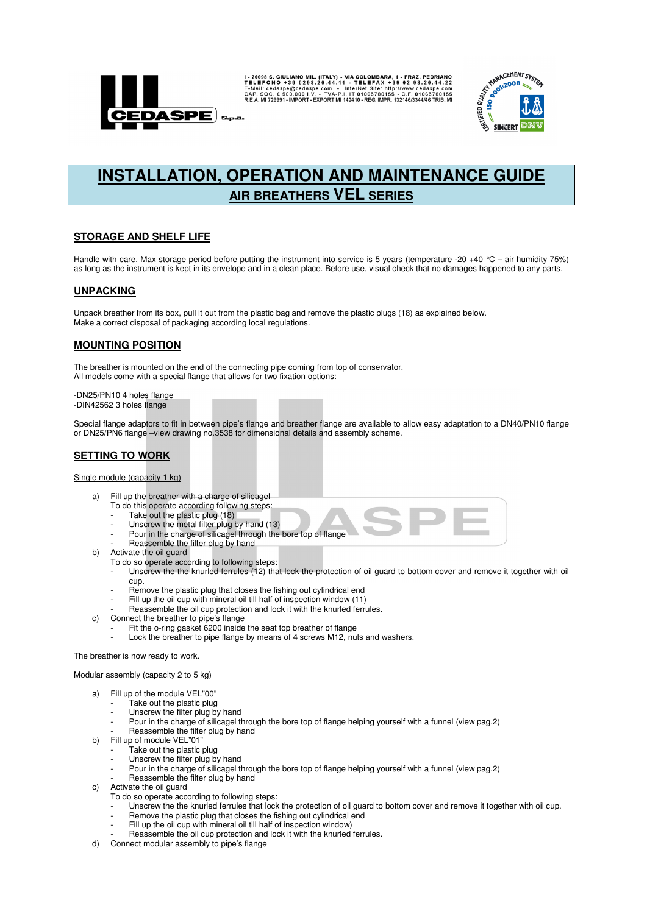

I-20098 S. GIULIANO MIL. (ITALY) - VIA COLOMBARA, 1 - FRAZ. PEDRIANO E-INGI I- SO 0298.20.44.22<br>TELEFONO + 39 0298.20.44.11 - TELEFAX + 39 02 98.20.44.22<br>E-Mail: cedaspe@cedaspe.com - InterNet Site: http://www.cedaspe.com<br>



# **INSTALLATION, OPERATION AND MAINTENANCE GUIDE AIR BREATHERS VEL SERIES**

## **STORAGE AND SHELF LIFE**

Handle with care. Max storage period before putting the instrument into service is 5 years (temperature -20 +40 °C – air humidity 75%) as long as the instrument is kept in its envelope and in a clean place. Before use, visual check that no damages happened to any parts.

## **UNPACKING**

Unpack breather from its box, pull it out from the plastic bag and remove the plastic plugs (18) as explained below. Make a correct disposal of packaging according local regulations.

## **MOUNTING POSITION**

The breather is mounted on the end of the connecting pipe coming from top of conservator. All models come with a special flange that allows for two fixation options:

-DN25/PN10 4 holes flange -DIN42562 3 holes flange

Special flange adaptors to fit in between pipe's flange and breather flange are available to allow easy adaptation to a DN40/PN10 flange or DN25/PN6 flange –view drawing no.3538 for dimensional details and assembly scheme.

# **SETTING TO WORK**

#### Single module (capacity 1 kg)

- a) Fill up the breather with a charge of silicagel
	- To do this operate according following steps:
	- Take out the plastic plug (18)
	- Unscrew the metal filter plug by hand (13) Pour in the charge of silicagel through the bore top of flange
	- Reassemble the filter plug by hand
- b) Activate the oil guard
	- To do so operate according to following steps:
		- Unscrew the the knurled ferrules (12) that lock the protection of oil guard to bottom cover and remove it together with oil cup.
		- Remove the plastic plug that closes the fishing out cylindrical end
		- Fill up the oil cup with mineral oil till half of inspection window (11)
	- Reassemble the oil cup protection and lock it with the knurled ferrules.
- c) Connect the breather to pipe's flange
	- Fit the o-ring gasket 6200 inside the seat top breather of flange
	- Lock the breather to pipe flange by means of 4 screws M12, nuts and washers.

#### The breather is now ready to work.

#### Modular assembly (capacity 2 to 5 kg)

- a) Fill up of the module VEL"00"
	- Take out the plastic plug
		- Unscrew the filter plug by hand
	- Pour in the charge of silicagel through the bore top of flange helping yourself with a funnel (view pag.2)
	- Reassemble the filter plug by hand
- b) Fill up of module VEL"01"
	- Take out the plastic plug
		- Unscrew the filter plug by hand
	- Pour in the charge of silicagel through the bore top of flange helping yourself with a funnel (view pag.2)
- Reassemble the filter plug by hand
- c) Activate the oil guard
	- To do so operate according to following steps:
	- Unscrew the the knurled ferrules that lock the protection of oil guard to bottom cover and remove it together with oil cup.
	- Remove the plastic plug that closes the fishing out cylindrical end
	- Fill up the oil cup with mineral oil till half of inspection window) Reassemble the oil cup protection and lock it with the knurled ferrules.
- d) Connect modular assembly to pipe's flange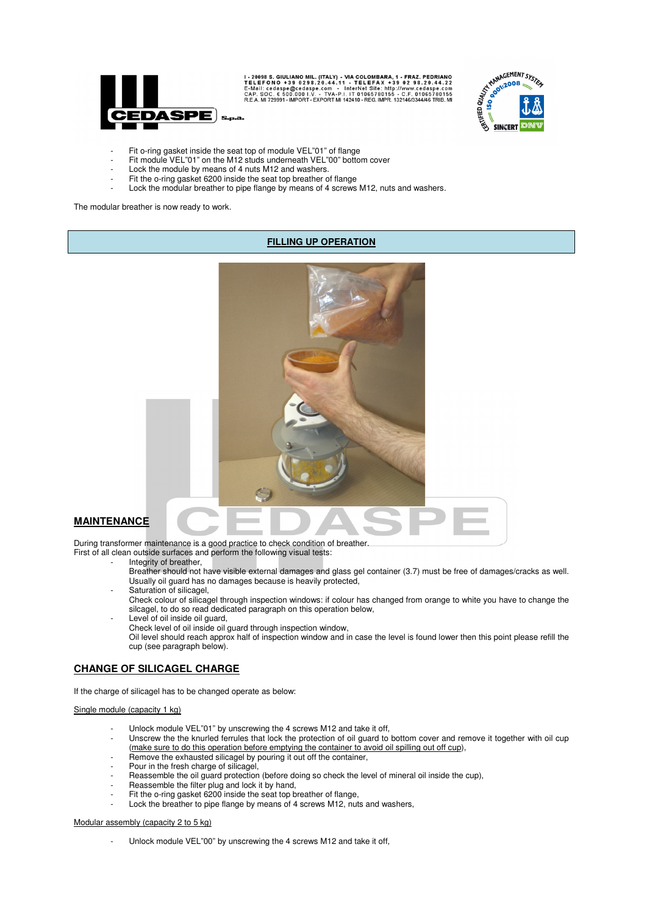

I - 20098 S. GIULIANO MIL. (ITALY) - VIA COLOMBARA, 1 - FRAZ. PEDRIANO<br>TELEFONO +39 0298.20.44.11 - TELEFAX +39 02 98.20.44.22<br>E-Mail: cedaspe@cedaspe.com - InterNet Site: http://www.cedaspe.com<br>CAP. SOC. € 500.000 I.V. -



- Fit o-ring gasket inside the seat top of module VEL"01" of flange
- Fit module VEL"01" on the M12 studs underneath VEL"00" bottom cover
- Lock the module by means of 4 nuts M12 and washers.
- Fit the o-ring gasket 6200 inside the seat top breather of flange
- Lock the modular breather to pipe flange by means of 4 screws M12, nuts and washers.

The modular breather is now ready to work.

#### **FILLING UP OPERATION**



# **MAINTENANCE**

During transformer maintenance is a good practice to check condition of breather.

First of all clean outside surfaces and perform the following visual tests:

- Integrity of breather.
	- Breather should not have visible external damages and glass gel container (3.7) must be free of damages/cracks as well. Usually oil guard has no damages because is heavily protected,
	- Saturation of silicagel,
	- Check colour of silicagel through inspection windows: if colour has changed from orange to white you have to change the silcagel, to do so read dedicated paragraph on this operation below,
	- Level of oil inside oil guard,

Check level of oil inside oil guard through inspection window,

Oil level should reach approx half of inspection window and in case the level is found lower then this point please refill the cup (see paragraph below).

## **CHANGE OF SILICAGEL CHARGE**

If the charge of silicagel has to be changed operate as below:

#### Single module (capacity 1 kg)

- Unlock module VEL"01" by unscrewing the 4 screws M12 and take it off,
- Unscrew the the knurled ferrules that lock the protection of oil guard to bottom cover and remove it together with oil cup (make sure to do this operation before emptying the container to avoid oil spilling out off cup),
- Remove the exhausted silicagel by pouring it out off the container,
- Pour in the fresh charge of silicagel,
- Reassemble the oil guard protection (before doing so check the level of mineral oil inside the cup),
- Reassemble the filter plug and lock it by hand,
- Fit the o-ring gasket 6200 inside the seat top breather of flange,
- Lock the breather to pipe flange by means of 4 screws M12, nuts and washers,

#### Modular assembly (capacity 2 to 5 kg)

Unlock module VEL"00" by unscrewing the 4 screws M12 and take it off,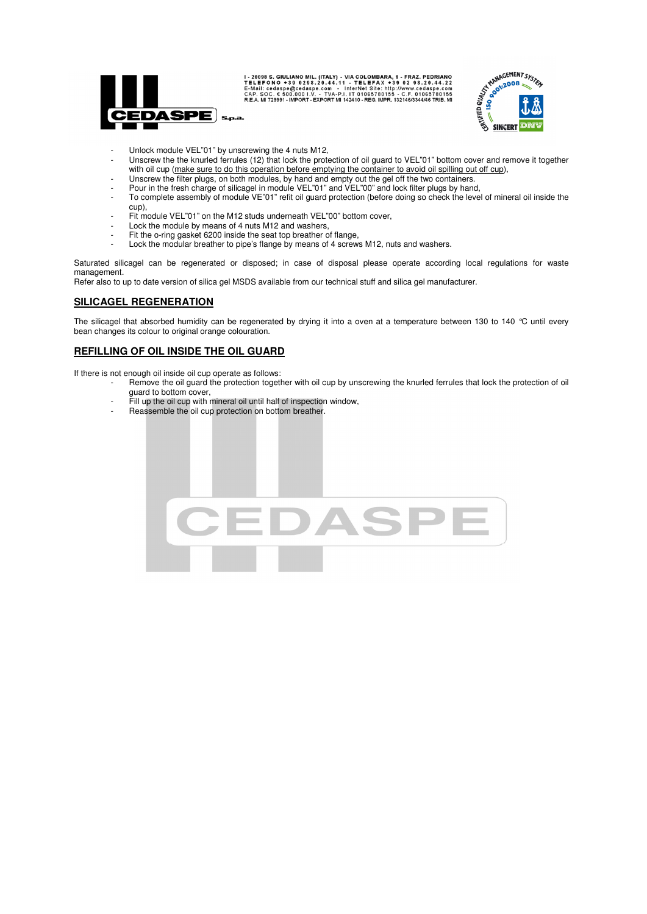

I-20098 S. GIULIANO MIL. (ITALY) - VIA COLOMBARA, 1 - FRAZ. PEDRIANO E-ME IL FONO + 39 0 29 8.20.44.12<br>TELEFONO + 39 0 29 8.20.44.11 - TELEFAX + 39 0 2 9 8.20.44.22<br>E-Mail: cedaspe@cedaspe.com - InterNet Sile: http://www.c



- Unlock module VEL"01" by unscrewing the 4 nuts M12,
- Unscrew the the knurled ferrules (12) that lock the protection of oil guard to VEL"01" bottom cover and remove it together with oil cup (make sure to do this operation before emptying the container to avoid oil spilling out off cup),
	- Unscrew the filter plugs, on both modules, by hand and empty out the gel off the two containers.
- Pour in the fresh charge of silicagel in module VEL"01" and VEL"00" and lock filter plugs by hand,
- To complete assembly of module VE"01" refit oil guard protection (before doing so check the level of mineral oil inside the cup),
- Fit module VEL"01" on the M12 studs underneath VEL"00" bottom cover,
- Lock the module by means of 4 nuts M12 and washers,
- Fit the o-ring gasket 6200 inside the seat top breather of flange,
- Lock the modular breather to pipe's flange by means of 4 screws M12, nuts and washers.

Saturated silicagel can be regenerated or disposed; in case of disposal please operate according local regulations for waste management.

Refer also to up to date version of silica gel MSDS available from our technical stuff and silica gel manufacturer.

## **SILICAGEL REGENERATION**

The silicagel that absorbed humidity can be regenerated by drying it into a oven at a temperature between 130 to 140 °C until every bean changes its colour to original orange colouration.

#### **REFILLING OF OIL INSIDE THE OIL GUARD**

If there is not enough oil inside oil cup operate as follows:

- Remove the oil guard the protection together with oil cup by unscrewing the knurled ferrules that lock the protection of oil guard to bottom cover,
- Fill up the oil cup with mineral oil until half of inspection window,
- Reassemble the oil cup protection on bottom breather.

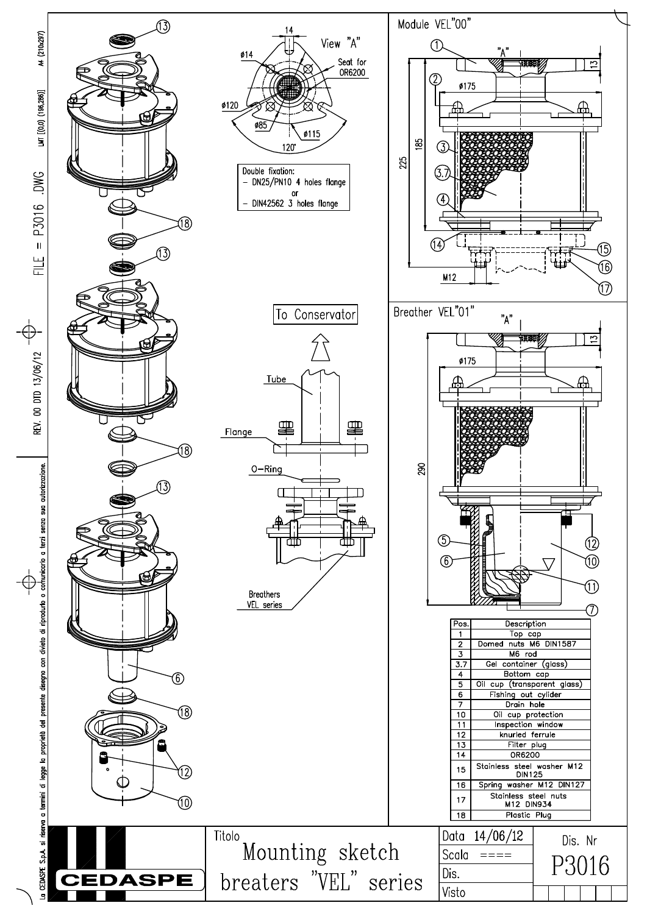